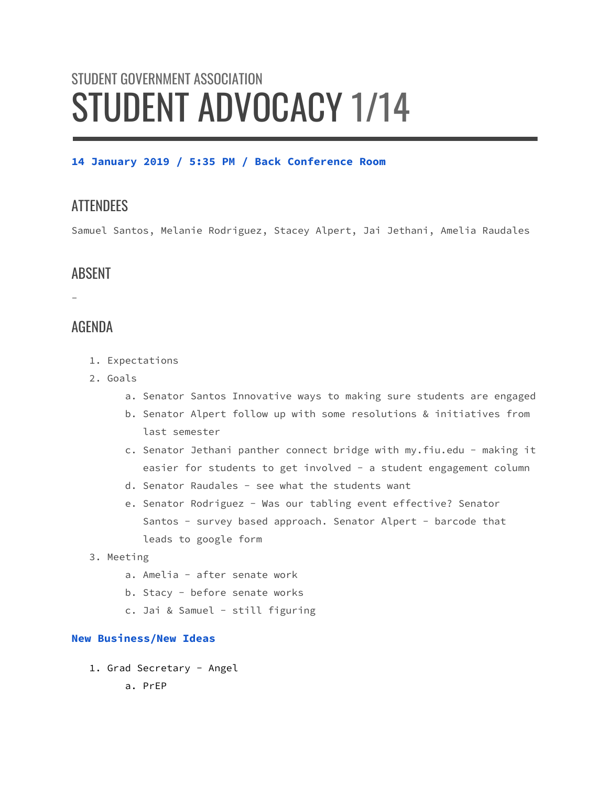# STUDENT GOVERNMENT ASSOCIATION STUDENT ADVOCACY 1/14

### **14 January 2019 / 5:35 PM / Back Conference Room**

## **ATTENDEES**

Samuel Santos, Melanie Rodriguez, Stacey Alpert, Jai Jethani, Amelia Raudales

## ABSENT

-

## AGENDA

- 1. Expectations
- 2. Goals
	- a. Senator Santos Innovative ways to making sure students are engaged
	- b. Senator Alpert follow up with some resolutions & initiatives from last semester
	- c. Senator Jethani panther connect bridge with my.fiu.edu making it easier for students to get involved - a student engagement column
	- d. Senator Raudales see what the students want
	- e. Senator Rodriguez Was our tabling event effective? Senator Santos - survey based approach. Senator Alpert - barcode that leads to google form
- 3. Meeting
	- a. Amelia after senate work
	- b. Stacy before senate works
	- c. Jai & Samuel still figuring

#### **New Business/New Ideas**

1. Grad Secretary - Angel

a. PrEP